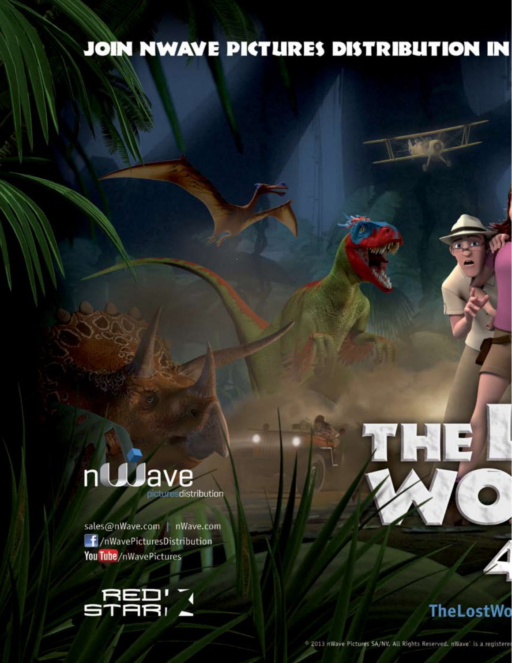## JOIN NWAVE PICTURES DISTRIBUTION IN

## ntuave turesdistribution

sales@nWave.com | nWave.com  $\mathbf{f}/n$ WavePicturesDistribution You Tube/nWavePictures



**TheLostWo** 

THE

2013 nWave Pictures SA/NV, All Rights Reserved. nWave is a registere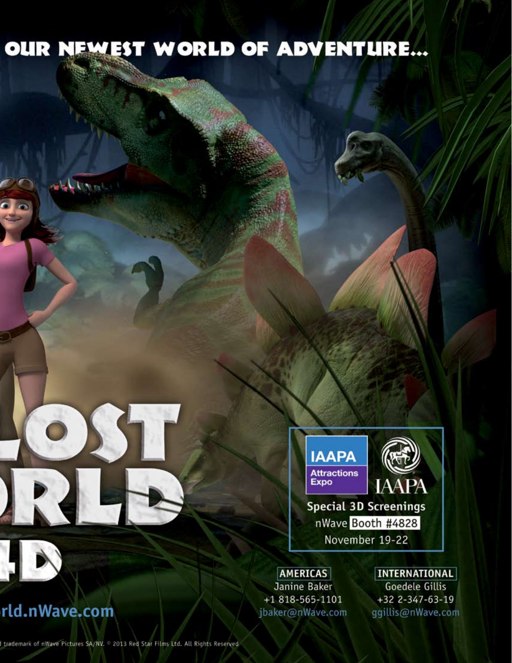## OUR NEWEST WORLD OF ADVENTURE...



**Special 3D Screenings** nWave Booth #4828 November 19-22

**AMERICAS** Janine Baker +1 818-565-1101 jbaker@nWave.com

**INTERNATIONAL Goedele Gillis** +32 2-347-63-19 ggillis@nWave.com

## rld.nWave.com

اساس المراسا

I trademark of nWave Pictures SA/NV. 2013 Red Star Films Ltd. All Rights Reserved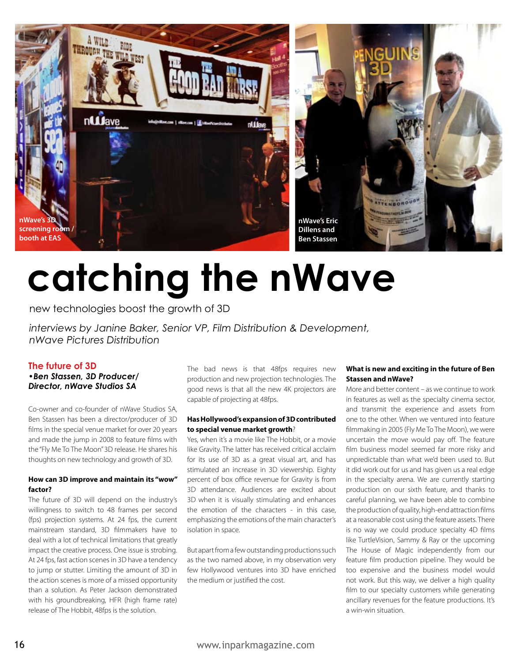

# **catching the nWave**

new technologies boost the growth of 3D

*interviews by Janine Baker, Senior VP, Film Distribution & Development, nWave Pictures Distribution*

#### **The future of 3D**

#### *•Ben Stassen, 3D Producer/ Director, nWave Studios SA*

Co-owner and co-founder of nWave Studios SA, Ben Stassen has been a director/producer of 3D films in the special venue market for over 20 years and made the jump in 2008 to feature films with the "Fly Me To The Moon" 3D release. He shares his thoughts on new technology and growth of 3D.

#### **How can 3D improve and maintain its "wow" factor?**

The future of 3D will depend on the industry's willingness to switch to 48 frames per second (fps) projection systems. At 24 fps, the current mainstream standard, 3D filmmakers have to deal with a lot of technical limitations that greatly impact the creative process. One issue is strobing. At 24 fps, fast action scenes in 3D have a tendency to jump or stutter. Limiting the amount of 3D in the action scenes is more of a missed opportunity than a solution. As Peter Jackson demonstrated with his groundbreaking, HFR (high frame rate) release of The Hobbit, 48fps is the solution.

The bad news is that 48fps requires new production and new projection technologies. The good news is that all the new 4K projectors are capable of projecting at 48fps.

#### **Has Hollywood's expansion of 3D contributed to special venue market growth**?

Yes, when it's a movie like The Hobbit, or a movie like Gravity. The latter has received critical acclaim for its use of 3D as a great visual art, and has stimulated an increase in 3D viewership. Eighty percent of box office revenue for Gravity is from 3D attendance. Audiences are excited about 3D when it is visually stimulating and enhances the emotion of the characters - in this case, emphasizing the emotions of the main character's isolation in space.

But apart from a few outstanding productions such as the two named above, in my observation very few Hollywood ventures into 3D have enriched the medium or justified the cost.

#### **What is new and exciting in the future of Ben Stassen and nWave?**

More and better content – as we continue to work in features as well as the specialty cinema sector, and transmit the experience and assets from one to the other. When we ventured into feature filmmaking in 2005 (Fly Me To The Moon), we were uncertain the move would pay off. The feature film business model seemed far more risky and unpredictable than what we'd been used to. But it did work out for us and has given us a real edge in the specialty arena. We are currently starting production on our sixth feature, and thanks to careful planning, we have been able to combine the production of quality, high-end attraction films at a reasonable cost using the feature assets. There is no way we could produce specialty 4D films like TurtleVision, Sammy & Ray or the upcoming The House of Magic independently from our feature film production pipeline. They would be too expensive and the business model would not work. But this way, we deliver a high quality film to our specialty customers while generating ancillary revenues for the feature productions. It's a win-win situation.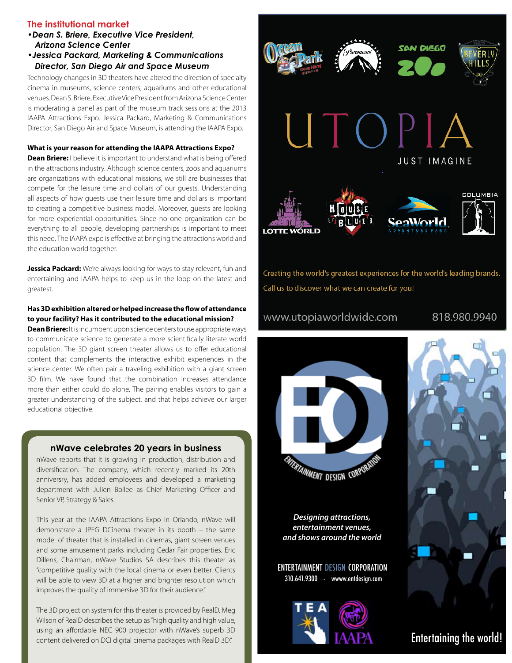#### **The institutional market**

- *•Dean S. Briere, Executive Vice President, Arizona Science Center*
- *•Jessica Packard, Marketing & Communications Director, San Diego Air and Space Museum*

Technology changes in 3D theaters have altered the direction of specialty cinema in museums, science centers, aquariums and other educational venues. Dean S. Briere, Executive Vice President from Arizona Science Center is moderating a panel as part of the museum track sessions at the 2013 IAAPA Attractions Expo. Jessica Packard, Marketing & Communications Director, San Diego Air and Space Museum, is attending the IAAPA Expo.

#### **What is your reason for attending the IAAPA Attractions Expo?**

**Dean Briere:** I believe it is important to understand what is being offered in the attractions industry. Although science centers, zoos and aquariums are organizations with educational missions, we still are businesses that compete for the leisure time and dollars of our guests. Understanding all aspects of how guests use their leisure time and dollars is important to creating a competitive business model. Moreover, guests are looking for more experiential opportunities. Since no one organization can be everything to all people, developing partnerships is important to meet this need. The IAAPA expo is effective at bringing the attractions world and the education world together.

**Jessica Packard:** We're always looking for ways to stay relevant, fun and entertaining and IAAPA helps to keep us in the loop on the latest and greatest.

#### **Has 3D exhibition altered or helped increase the flow of attendance to your facility? Has it contributed to the educational mission?**

**Dean Briere:** It is incumbent upon science centers to use appropriate ways to communicate science to generate a more scientifically literate world population. The 3D giant screen theater allows us to offer educational content that complements the interactive exhibit experiences in the science center. We often pair a traveling exhibition with a giant screen 3D film. We have found that the combination increases attendance more than either could do alone. The pairing enables visitors to gain a greater understanding of the subject, and that helps achieve our larger educational objective.

#### **nWave celebrates 20 years in business**

nWave reports that it is growing in production, distribution and diversification. The company, which recently marked its 20th anniversry, has added employees and developed a marketing department with Julien Bollee as Chief Marketing Officer and Senior VP, Strategy & Sales.

This year at the IAAPA Attractions Expo in Orlando, nWave will demonstrate a JPEG DCinema theater in its booth – the same model of theater that is installed in cinemas, giant screen venues and some amusement parks including Cedar Fair properties. Eric Dillens, Chairman, nWave Studios SA describes this theater as "competitive quality with the local cinema or even better. Clients will be able to view 3D at a higher and brighter resolution which improves the quality of immersive 3D for their audience."

The 3D projection system for this theater is provided by RealD. Meg Wilson of RealD describes the setup as "high quality and high value, using an affordable NEC 900 projector with nWave's superb 3D content delivered on DCI digital cinema packages with RealD 3D."



Creating the world's greatest experiences for the world's leading brands. Call us to discover what we can create for you!

#### www.utopiaworldwide.com

818.980.9940



**Designing attractions, entertainment venues, and shows around the world**

ENTERTAINMENT DESIGN CORPORATION 310.641.9300 - wwww.entdesign.com





Entertaining the world!